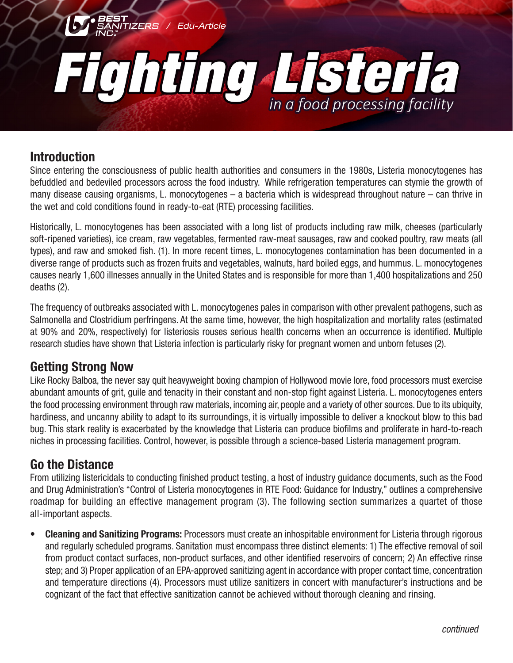

### **Introduction**

Since entering the consciousness of public health authorities and consumers in the 1980s, Listeria monocytogenes has befuddled and bedeviled processors across the food industry. While refrigeration temperatures can stymie the growth of many disease causing organisms, L. monocytogenes – a bacteria which is widespread throughout nature – can thrive in the wet and cold conditions found in ready-to-eat (RTE) processing facilities.

Historically, L. monocytogenes has been associated with a long list of products including raw milk, cheeses (particularly soft-ripened varieties), ice cream, raw vegetables, fermented raw-meat sausages, raw and cooked poultry, raw meats (all types), and raw and smoked fish. (1). In more recent times, L. monocytogenes contamination has been documented in a diverse range of products such as frozen fruits and vegetables, walnuts, hard boiled eggs, and hummus. L. monocytogenes causes nearly 1,600 illnesses annually in the United States and is responsible for more than 1,400 hospitalizations and 250 deaths (2).

The frequency of outbreaks associated with L. monocytogenes pales in comparison with other prevalent pathogens, such as Salmonella and Clostridium perfringens. At the same time, however, the high hospitalization and mortality rates (estimated at 90% and 20%, respectively) for listeriosis rouses serious health concerns when an occurrence is identified. Multiple research studies have shown that Listeria infection is particularly risky for pregnant women and unborn fetuses (2).

## **Getting Strong Now**

Like Rocky Balboa, the never say quit heavyweight boxing champion of Hollywood movie lore, food processors must exercise abundant amounts of grit, guile and tenacity in their constant and non-stop fight against Listeria. L. monocytogenes enters the food processing environment through raw materials, incoming air, people and a variety of other sources. Due to its ubiquity, hardiness, and uncanny ability to adapt to its surroundings, it is virtually impossible to deliver a knockout blow to this bad bug. This stark reality is exacerbated by the knowledge that Listeria can produce biofilms and proliferate in hard-to-reach niches in processing facilities. Control, however, is possible through a science-based Listeria management program.

# **Go the Distance**

From utilizing listericidals to conducting finished product testing, a host of industry guidance documents, such as the Food and Drug Administration's "Control of Listeria monocytogenes in RTE Food: Guidance for Industry," outlines a comprehensive roadmap for building an effective management program (3). The following section summarizes a quartet of those all-important aspects.

**• Cleaning and Sanitizing Programs:** Processors must create an inhospitable environment for Listeria through rigorous and regularly scheduled programs. Sanitation must encompass three distinct elements: 1) The effective removal of soil from product contact surfaces, non-product surfaces, and other identified reservoirs of concern; 2) An effective rinse step; and 3) Proper application of an EPA-approved sanitizing agent in accordance with proper contact time, concentration and temperature directions (4). Processors must utilize sanitizers in concert with manufacturer's instructions and be cognizant of the fact that effective sanitization cannot be achieved without thorough cleaning and rinsing.